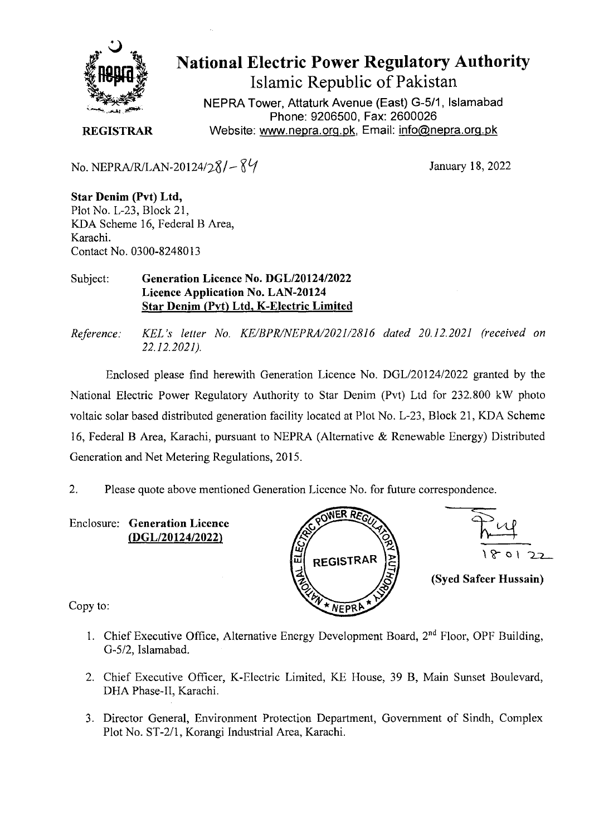

# National Electric Power Regulatory Authority Islamic Republic of Pakistan

**NEPRA Tower, Attaturk Avenue (East) G-511, Islamabad Phone: 9206500, Fax: 2600026 REGISTRAR** Website: www.nepra.org.pk, Email: info@nepra.org.pk

No. NEPRA/R/LAN-20124/28/ $-84$ 

January 18, 2022

**Star Denim (Pvt) Ltd,**  Plot No. L-23, Block 21, KDA Scheme 16, Federal B Area, Karachi. Contact No. 0300-82480 13

#### Subject: **Generation Licence No. DGL/20124/2022**  Licence Application No. LAN-20124 Star Denim (Pvt) Ltd. K**-Electric Limited**

*Reference. KEL 's letter No. KE/BPR/NEPRAI2O2I/2816 dated 20.12.2021 (received on 22.12.2021).* 

Enclosed please find herewith Generation Licence No. DGL/20 124/2022 granted by the National Electric Power Regulatory Authority to Star Denim (Pvt) Ltd for 232.800 kW photo voltaic solar based distributed generation facility located at Plot No. L-23, Block 21, KDA Scheme 16, Federal B Area, Karachi, pursuant to NEPRA (Alternative & Renewable Energy) Distributed Generation and Net Metering Regulations, 2015.

2. Please quote above mentioned Generation Licence No. for future correspondence.

Enclosure: **Generation Licence (DGL/20124/2022)** 





**(Syed Safeer Hussain)** 

Copy to:

- 1. Chief Executive Office, Alternative Energy Development Board,  $2<sup>nd</sup>$  Floor, OPF Building, *0-5/2,* Islamabad.
- 2. Chief Executive Officer, K-Electric Limited, KE House, 39 B, Main Sunset Boulevard, DHA Phase-Il, Karachi.
- 3. Director General, Environment Protection Department, Government of Sindh, Complex Plot No. ST-2/1, Korangi Industrial Area, Karachi.